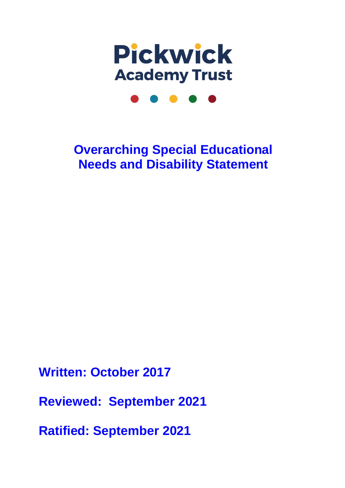

# **Overarching Special Educational Needs and Disability Statement**

**Written: October 2017**

**Reviewed: September 2021**

**Ratified: September 2021**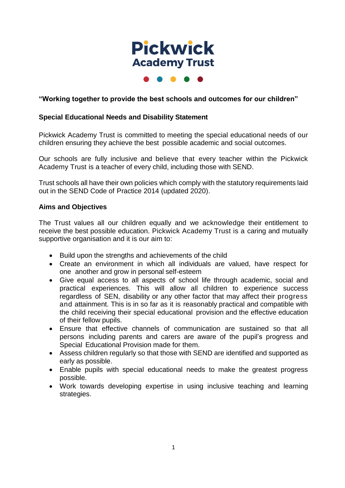

 $\bullet\hspace{0.2cm}\bullet\hspace{0.2cm}\bullet\hspace{0.2cm}\bullet$ 

## **"Working together to provide the best schools and outcomes for our children"**

### **Special Educational Needs and Disability Statement**

Pickwick Academy Trust is committed to meeting the special educational needs of our children ensuring they achieve the best possible academic and social outcomes.

Our schools are fully inclusive and believe that every teacher within the Pickwick Academy Trust is a teacher of every child, including those with SEND.

Trust schools all have their own policies which comply with the statutory requirements laid out in the SEND Code of Practice 2014 (updated 2020).

#### **Aims and Objectives**

The Trust values all our children equally and we acknowledge their entitlement to receive the best possible education. Pickwick Academy Trust is a caring and mutually supportive organisation and it is our aim to:

- Build upon the strengths and achievements of the child
- Create an environment in which all individuals are valued, have respect for one another and grow in personal self-esteem
- Give equal access to all aspects of school life through academic, social and practical experiences. This will allow all children to experience success regardless of SEN, disability or any other factor that may affect their progress and attainment. This is in so far as it is reasonably practical and compatible with the child receiving their special educational provision and the effective education of their fellow pupils.
- Ensure that effective channels of communication are sustained so that all persons including parents and carers are aware of the pupil's progress and Special Educational Provision made for them.
- Assess children regularly so that those with SEND are identified and supported as early as possible.
- Enable pupils with special educational needs to make the greatest progress possible.
- Work towards developing expertise in using inclusive teaching and learning strategies.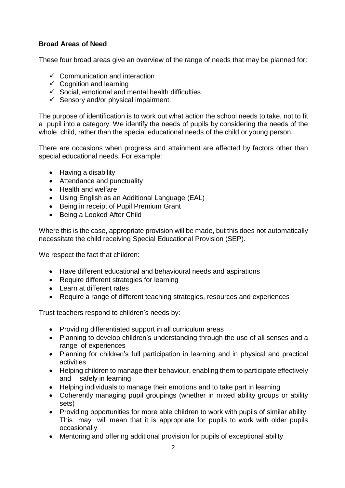# **Broad Areas of Need**

These four broad areas give an overview of the range of needs that may be planned for:

- $\checkmark$  Communication and interaction
- $\checkmark$  Cognition and learning
- $\checkmark$  Social, emotional and mental health difficulties
- $\checkmark$  Sensory and/or physical impairment.

The purpose of identification is to work out what action the school needs to take, not to fit a pupil into a category. We identify the needs of pupils by considering the needs of the whole child, rather than the special educational needs of the child or young person.

There are occasions when progress and attainment are affected by factors other than special educational needs. For example:

- Having a disability
- Attendance and punctuality
- Health and welfare
- Using English as an Additional Language (EAL)
- Being in receipt of Pupil Premium Grant
- Being a Looked After Child

Where this is the case, appropriate provision will be made, but this does not automatically necessitate the child receiving Special Educational Provision (SEP).

We respect the fact that children:

- Have different educational and behavioural needs and aspirations
- Require different strategies for learning
- Learn at different rates
- Require a range of different teaching strategies, resources and experiences

Trust teachers respond to children's needs by:

- Providing differentiated support in all curriculum areas
- Planning to develop children's understanding through the use of all senses and a range of experiences
- Planning for children's full participation in learning and in physical and practical activities
- Helping children to manage their behaviour, enabling them to participate effectively and safely in learning
- Helping individuals to manage their emotions and to take part in learning
- Coherently managing pupil groupings (whether in mixed ability groups or ability sets)
- Providing opportunities for more able children to work with pupils of similar ability. This may will mean that it is appropriate for pupils to work with older pupils occasionally
- Mentoring and offering additional provision for pupils of exceptional ability